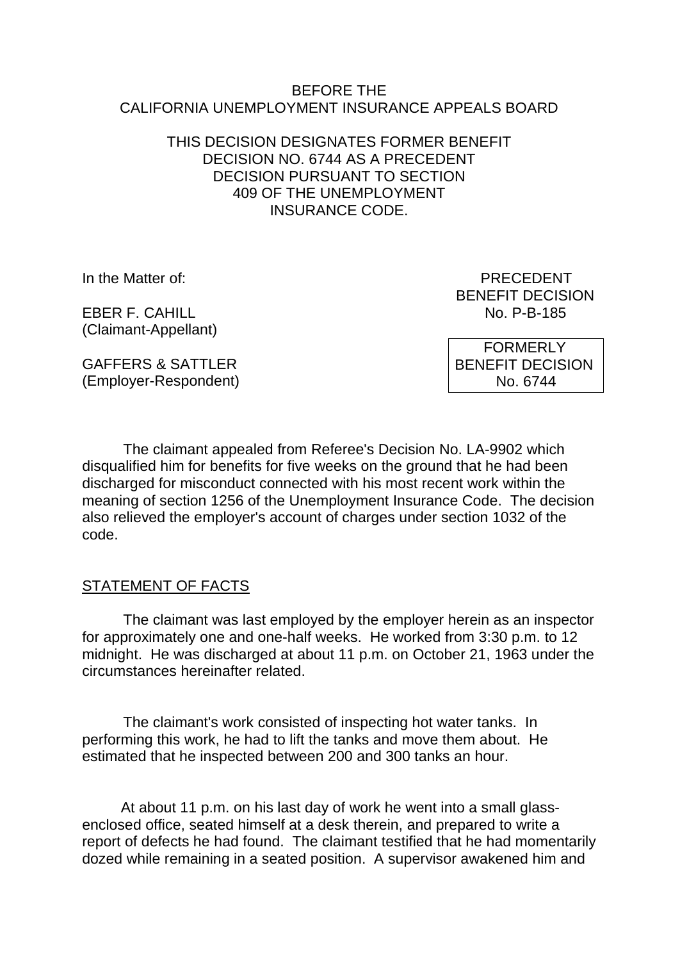#### BEFORE THE CALIFORNIA UNEMPLOYMENT INSURANCE APPEALS BOARD

## THIS DECISION DESIGNATES FORMER BENEFIT DECISION NO. 6744 AS A PRECEDENT DECISION PURSUANT TO SECTION 409 OF THE UNEMPLOYMENT INSURANCE CODE.

**EBER F. CAHILL** (Claimant-Appellant)

In the Matter of: PRECEDENT BENEFIT DECISION<br>No. P-B-185

> FORMERLY BENEFIT DECISION No. 6744

GAFFERS & SATTLER (Employer-Respondent)

The claimant appealed from Referee's Decision No. LA-9902 which disqualified him for benefits for five weeks on the ground that he had been discharged for misconduct connected with his most recent work within the meaning of section 1256 of the Unemployment Insurance Code. The decision also relieved the employer's account of charges under section 1032 of the code.

# STATEMENT OF FACTS

The claimant was last employed by the employer herein as an inspector for approximately one and one-half weeks. He worked from 3:30 p.m. to 12 midnight. He was discharged at about 11 p.m. on October 21, 1963 under the circumstances hereinafter related.

The claimant's work consisted of inspecting hot water tanks. In performing this work, he had to lift the tanks and move them about. He estimated that he inspected between 200 and 300 tanks an hour.

At about 11 p.m. on his last day of work he went into a small glassenclosed office, seated himself at a desk therein, and prepared to write a report of defects he had found. The claimant testified that he had momentarily dozed while remaining in a seated position. A supervisor awakened him and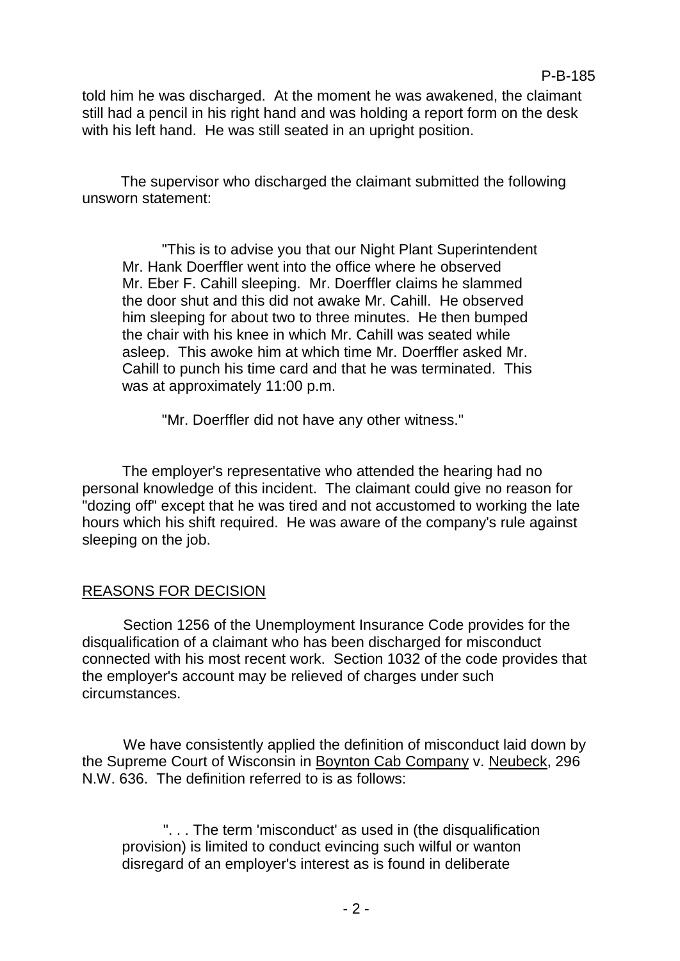told him he was discharged. At the moment he was awakened, the claimant still had a pencil in his right hand and was holding a report form on the desk with his left hand. He was still seated in an upright position.

The supervisor who discharged the claimant submitted the following unsworn statement:

"This is to advise you that our Night Plant Superintendent Mr. Hank Doerffler went into the office where he observed Mr. Eber F. Cahill sleeping. Mr. Doerffler claims he slammed the door shut and this did not awake Mr. Cahill. He observed him sleeping for about two to three minutes. He then bumped the chair with his knee in which Mr. Cahill was seated while asleep. This awoke him at which time Mr. Doerffler asked Mr. Cahill to punch his time card and that he was terminated. This was at approximately 11:00 p.m.

"Mr. Doerffler did not have any other witness."

The employer's representative who attended the hearing had no personal knowledge of this incident. The claimant could give no reason for "dozing off" except that he was tired and not accustomed to working the late hours which his shift required. He was aware of the company's rule against sleeping on the job.

# REASONS FOR DECISION

Section 1256 of the Unemployment Insurance Code provides for the disqualification of a claimant who has been discharged for misconduct connected with his most recent work. Section 1032 of the code provides that the employer's account may be relieved of charges under such circumstances.

We have consistently applied the definition of misconduct laid down by the Supreme Court of Wisconsin in Boynton Cab Company v. Neubeck, 296 N.W. 636. The definition referred to is as follows:

". . . The term 'misconduct' as used in (the disqualification provision) is limited to conduct evincing such wilful or wanton disregard of an employer's interest as is found in deliberate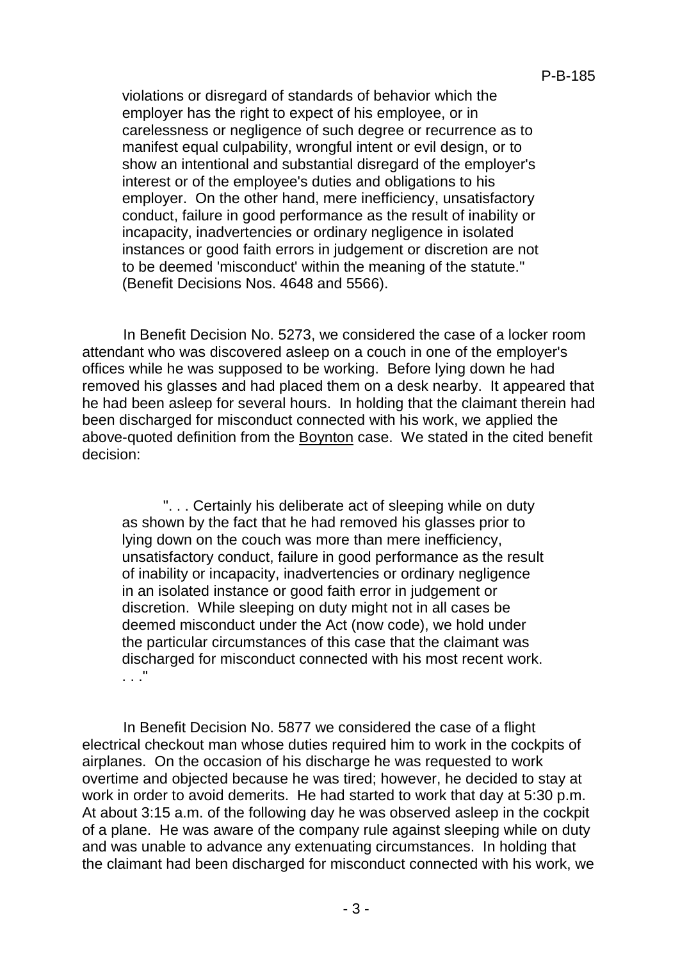violations or disregard of standards of behavior which the employer has the right to expect of his employee, or in carelessness or negligence of such degree or recurrence as to manifest equal culpability, wrongful intent or evil design, or to show an intentional and substantial disregard of the employer's interest or of the employee's duties and obligations to his employer. On the other hand, mere inefficiency, unsatisfactory conduct, failure in good performance as the result of inability or incapacity, inadvertencies or ordinary negligence in isolated instances or good faith errors in judgement or discretion are not to be deemed 'misconduct' within the meaning of the statute." (Benefit Decisions Nos. 4648 and 5566).

In Benefit Decision No. 5273, we considered the case of a locker room attendant who was discovered asleep on a couch in one of the employer's offices while he was supposed to be working. Before lying down he had removed his glasses and had placed them on a desk nearby. It appeared that he had been asleep for several hours. In holding that the claimant therein had been discharged for misconduct connected with his work, we applied the above-quoted definition from the Boynton case. We stated in the cited benefit decision:

". . . Certainly his deliberate act of sleeping while on duty as shown by the fact that he had removed his glasses prior to lying down on the couch was more than mere inefficiency, unsatisfactory conduct, failure in good performance as the result of inability or incapacity, inadvertencies or ordinary negligence in an isolated instance or good faith error in judgement or discretion. While sleeping on duty might not in all cases be deemed misconduct under the Act (now code), we hold under the particular circumstances of this case that the claimant was discharged for misconduct connected with his most recent work. . . ."

In Benefit Decision No. 5877 we considered the case of a flight electrical checkout man whose duties required him to work in the cockpits of airplanes. On the occasion of his discharge he was requested to work overtime and objected because he was tired; however, he decided to stay at work in order to avoid demerits. He had started to work that day at 5:30 p.m. At about 3:15 a.m. of the following day he was observed asleep in the cockpit of a plane. He was aware of the company rule against sleeping while on duty and was unable to advance any extenuating circumstances. In holding that the claimant had been discharged for misconduct connected with his work, we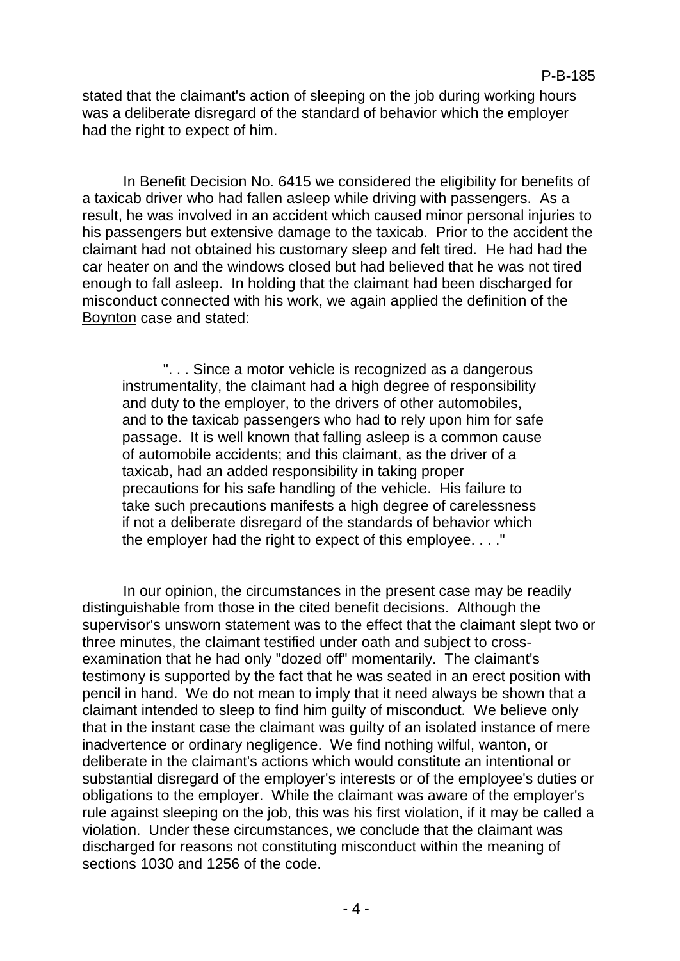stated that the claimant's action of sleeping on the job during working hours was a deliberate disregard of the standard of behavior which the employer had the right to expect of him.

In Benefit Decision No. 6415 we considered the eligibility for benefits of a taxicab driver who had fallen asleep while driving with passengers. As a result, he was involved in an accident which caused minor personal injuries to his passengers but extensive damage to the taxicab. Prior to the accident the claimant had not obtained his customary sleep and felt tired. He had had the car heater on and the windows closed but had believed that he was not tired enough to fall asleep. In holding that the claimant had been discharged for misconduct connected with his work, we again applied the definition of the Boynton case and stated:

". . . Since a motor vehicle is recognized as a dangerous instrumentality, the claimant had a high degree of responsibility and duty to the employer, to the drivers of other automobiles, and to the taxicab passengers who had to rely upon him for safe passage. It is well known that falling asleep is a common cause of automobile accidents; and this claimant, as the driver of a taxicab, had an added responsibility in taking proper precautions for his safe handling of the vehicle. His failure to take such precautions manifests a high degree of carelessness if not a deliberate disregard of the standards of behavior which the employer had the right to expect of this employee. . . ."

In our opinion, the circumstances in the present case may be readily distinguishable from those in the cited benefit decisions. Although the supervisor's unsworn statement was to the effect that the claimant slept two or three minutes, the claimant testified under oath and subject to crossexamination that he had only "dozed off" momentarily. The claimant's testimony is supported by the fact that he was seated in an erect position with pencil in hand. We do not mean to imply that it need always be shown that a claimant intended to sleep to find him guilty of misconduct. We believe only that in the instant case the claimant was guilty of an isolated instance of mere inadvertence or ordinary negligence. We find nothing wilful, wanton, or deliberate in the claimant's actions which would constitute an intentional or substantial disregard of the employer's interests or of the employee's duties or obligations to the employer. While the claimant was aware of the employer's rule against sleeping on the job, this was his first violation, if it may be called a violation. Under these circumstances, we conclude that the claimant was discharged for reasons not constituting misconduct within the meaning of sections 1030 and 1256 of the code.